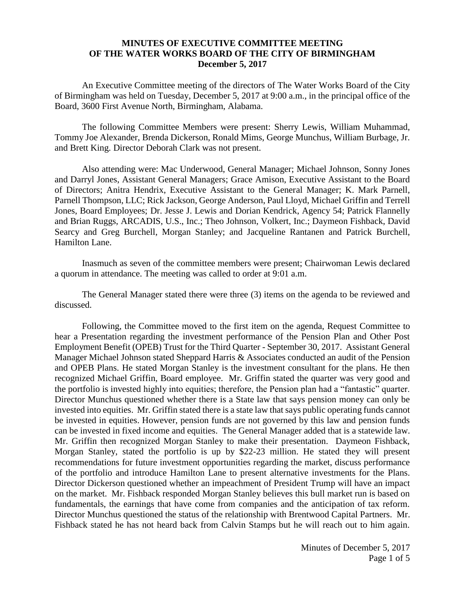## **MINUTES OF EXECUTIVE COMMITTEE MEETING OF THE WATER WORKS BOARD OF THE CITY OF BIRMINGHAM December 5, 2017**

An Executive Committee meeting of the directors of The Water Works Board of the City of Birmingham was held on Tuesday, December 5, 2017 at 9:00 a.m., in the principal office of the Board, 3600 First Avenue North, Birmingham, Alabama.

The following Committee Members were present: Sherry Lewis, William Muhammad, Tommy Joe Alexander, Brenda Dickerson, Ronald Mims, George Munchus, William Burbage, Jr. and Brett King. Director Deborah Clark was not present.

Also attending were: Mac Underwood, General Manager; Michael Johnson, Sonny Jones and Darryl Jones, Assistant General Managers; Grace Amison, Executive Assistant to the Board of Directors; Anitra Hendrix, Executive Assistant to the General Manager; K. Mark Parnell, Parnell Thompson, LLC; Rick Jackson, George Anderson, Paul Lloyd, Michael Griffin and Terrell Jones, Board Employees; Dr. Jesse J. Lewis and Dorian Kendrick, Agency 54; Patrick Flannelly and Brian Ruggs, ARCADIS, U.S., Inc.; Theo Johnson, Volkert, Inc.; Daymeon Fishback, David Searcy and Greg Burchell, Morgan Stanley; and Jacqueline Rantanen and Patrick Burchell, Hamilton Lane.

Inasmuch as seven of the committee members were present; Chairwoman Lewis declared a quorum in attendance. The meeting was called to order at 9:01 a.m.

The General Manager stated there were three (3) items on the agenda to be reviewed and discussed.

Following, the Committee moved to the first item on the agenda, Request Committee to hear a Presentation regarding the investment performance of the Pension Plan and Other Post Employment Benefit (OPEB) Trust for the Third Quarter - September 30, 2017. Assistant General Manager Michael Johnson stated Sheppard Harris & Associates conducted an audit of the Pension and OPEB Plans. He stated Morgan Stanley is the investment consultant for the plans. He then recognized Michael Griffin, Board employee. Mr. Griffin stated the quarter was very good and the portfolio is invested highly into equities; therefore, the Pension plan had a "fantastic" quarter. Director Munchus questioned whether there is a State law that says pension money can only be invested into equities. Mr. Griffin stated there is a state law that says public operating funds cannot be invested in equities. However, pension funds are not governed by this law and pension funds can be invested in fixed income and equities. The General Manager added that is a statewide law. Mr. Griffin then recognized Morgan Stanley to make their presentation. Daymeon Fishback, Morgan Stanley, stated the portfolio is up by \$22-23 million. He stated they will present recommendations for future investment opportunities regarding the market, discuss performance of the portfolio and introduce Hamilton Lane to present alternative investments for the Plans. Director Dickerson questioned whether an impeachment of President Trump will have an impact on the market. Mr. Fishback responded Morgan Stanley believes this bull market run is based on fundamentals, the earnings that have come from companies and the anticipation of tax reform. Director Munchus questioned the status of the relationship with Brentwood Capital Partners. Mr. Fishback stated he has not heard back from Calvin Stamps but he will reach out to him again.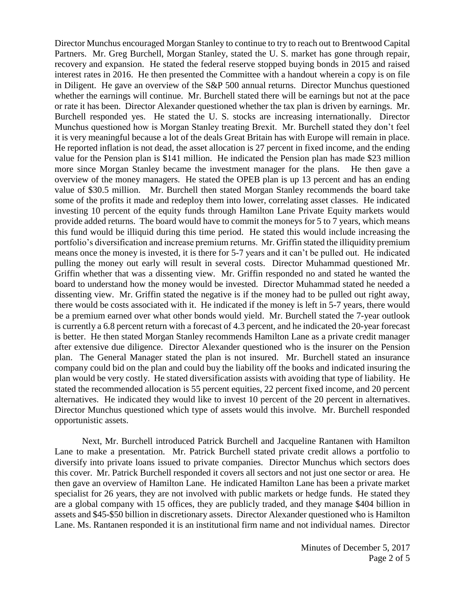Director Munchus encouraged Morgan Stanley to continue to try to reach out to Brentwood Capital Partners. Mr. Greg Burchell, Morgan Stanley, stated the U. S. market has gone through repair, recovery and expansion. He stated the federal reserve stopped buying bonds in 2015 and raised interest rates in 2016. He then presented the Committee with a handout wherein a copy is on file in Diligent. He gave an overview of the S&P 500 annual returns. Director Munchus questioned whether the earnings will continue. Mr. Burchell stated there will be earnings but not at the pace or rate it has been. Director Alexander questioned whether the tax plan is driven by earnings. Mr. Burchell responded yes. He stated the U. S. stocks are increasing internationally. Director Munchus questioned how is Morgan Stanley treating Brexit. Mr. Burchell stated they don't feel it is very meaningful because a lot of the deals Great Britain has with Europe will remain in place. He reported inflation is not dead, the asset allocation is 27 percent in fixed income, and the ending value for the Pension plan is \$141 million. He indicated the Pension plan has made \$23 million more since Morgan Stanley became the investment manager for the plans. He then gave a overview of the money managers. He stated the OPEB plan is up 13 percent and has an ending value of \$30.5 million. Mr. Burchell then stated Morgan Stanley recommends the board take some of the profits it made and redeploy them into lower, correlating asset classes. He indicated investing 10 percent of the equity funds through Hamilton Lane Private Equity markets would provide added returns. The board would have to commit the moneys for 5 to 7 years, which means this fund would be illiquid during this time period. He stated this would include increasing the portfolio's diversification and increase premium returns. Mr. Griffin stated the illiquidity premium means once the money is invested, it is there for 5-7 years and it can't be pulled out. He indicated pulling the money out early will result in several costs. Director Muhammad questioned Mr. Griffin whether that was a dissenting view. Mr. Griffin responded no and stated he wanted the board to understand how the money would be invested. Director Muhammad stated he needed a dissenting view. Mr. Griffin stated the negative is if the money had to be pulled out right away, there would be costs associated with it. He indicated if the money is left in 5-7 years, there would be a premium earned over what other bonds would yield. Mr. Burchell stated the 7-year outlook is currently a 6.8 percent return with a forecast of 4.3 percent, and he indicated the 20-year forecast is better. He then stated Morgan Stanley recommends Hamilton Lane as a private credit manager after extensive due diligence. Director Alexander questioned who is the insurer on the Pension plan. The General Manager stated the plan is not insured. Mr. Burchell stated an insurance company could bid on the plan and could buy the liability off the books and indicated insuring the plan would be very costly. He stated diversification assists with avoiding that type of liability. He stated the recommended allocation is 55 percent equities, 22 percent fixed income, and 20 percent alternatives. He indicated they would like to invest 10 percent of the 20 percent in alternatives. Director Munchus questioned which type of assets would this involve. Mr. Burchell responded opportunistic assets.

Next, Mr. Burchell introduced Patrick Burchell and Jacqueline Rantanen with Hamilton Lane to make a presentation. Mr. Patrick Burchell stated private credit allows a portfolio to diversify into private loans issued to private companies. Director Munchus which sectors does this cover. Mr. Patrick Burchell responded it covers all sectors and not just one sector or area. He then gave an overview of Hamilton Lane. He indicated Hamilton Lane has been a private market specialist for 26 years, they are not involved with public markets or hedge funds. He stated they are a global company with 15 offices, they are publicly traded, and they manage \$404 billion in assets and \$45-\$50 billion in discretionary assets. Director Alexander questioned who is Hamilton Lane. Ms. Rantanen responded it is an institutional firm name and not individual names. Director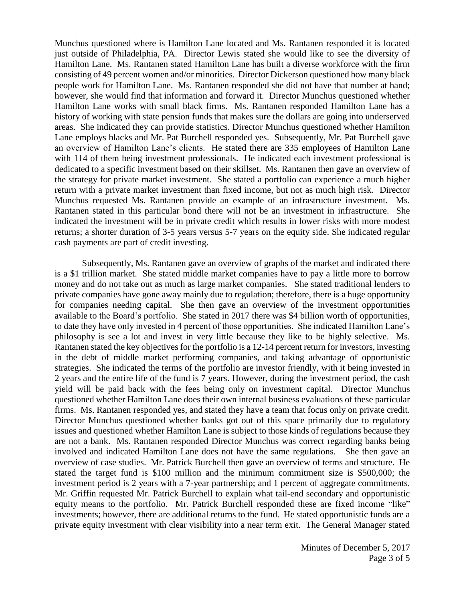Munchus questioned where is Hamilton Lane located and Ms. Rantanen responded it is located just outside of Philadelphia, PA. Director Lewis stated she would like to see the diversity of Hamilton Lane. Ms. Rantanen stated Hamilton Lane has built a diverse workforce with the firm consisting of 49 percent women and/or minorities. Director Dickerson questioned how many black people work for Hamilton Lane. Ms. Rantanen responded she did not have that number at hand; however, she would find that information and forward it. Director Munchus questioned whether Hamilton Lane works with small black firms. Ms. Rantanen responded Hamilton Lane has a history of working with state pension funds that makes sure the dollars are going into underserved areas. She indicated they can provide statistics. Director Munchus questioned whether Hamilton Lane employs blacks and Mr. Pat Burchell responded yes. Subsequently, Mr. Pat Burchell gave an overview of Hamilton Lane's clients. He stated there are 335 employees of Hamilton Lane with 114 of them being investment professionals. He indicated each investment professional is dedicated to a specific investment based on their skillset. Ms. Rantanen then gave an overview of the strategy for private market investment. She stated a portfolio can experience a much higher return with a private market investment than fixed income, but not as much high risk. Director Munchus requested Ms. Rantanen provide an example of an infrastructure investment. Ms. Rantanen stated in this particular bond there will not be an investment in infrastructure. She indicated the investment will be in private credit which results in lower risks with more modest returns; a shorter duration of 3-5 years versus 5-7 years on the equity side. She indicated regular cash payments are part of credit investing.

Subsequently, Ms. Rantanen gave an overview of graphs of the market and indicated there is a \$1 trillion market. She stated middle market companies have to pay a little more to borrow money and do not take out as much as large market companies. She stated traditional lenders to private companies have gone away mainly due to regulation; therefore, there is a huge opportunity for companies needing capital. She then gave an overview of the investment opportunities available to the Board's portfolio. She stated in 2017 there was \$4 billion worth of opportunities, to date they have only invested in 4 percent of those opportunities. She indicated Hamilton Lane's philosophy is see a lot and invest in very little because they like to be highly selective. Ms. Rantanen stated the key objectives for the portfolio is a 12-14 percent return for investors, investing in the debt of middle market performing companies, and taking advantage of opportunistic strategies. She indicated the terms of the portfolio are investor friendly, with it being invested in 2 years and the entire life of the fund is 7 years. However, during the investment period, the cash yield will be paid back with the fees being only on investment capital. Director Munchus questioned whether Hamilton Lane does their own internal business evaluations of these particular firms. Ms. Rantanen responded yes, and stated they have a team that focus only on private credit. Director Munchus questioned whether banks got out of this space primarily due to regulatory issues and questioned whether Hamilton Lane is subject to those kinds of regulations because they are not a bank. Ms. Rantanen responded Director Munchus was correct regarding banks being involved and indicated Hamilton Lane does not have the same regulations. She then gave an overview of case studies. Mr. Patrick Burchell then gave an overview of terms and structure. He stated the target fund is \$100 million and the minimum commitment size is \$500,000; the investment period is 2 years with a 7-year partnership; and 1 percent of aggregate commitments. Mr. Griffin requested Mr. Patrick Burchell to explain what tail-end secondary and opportunistic equity means to the portfolio. Mr. Patrick Burchell responded these are fixed income "like" investments; however, there are additional returns to the fund. He stated opportunistic funds are a private equity investment with clear visibility into a near term exit. The General Manager stated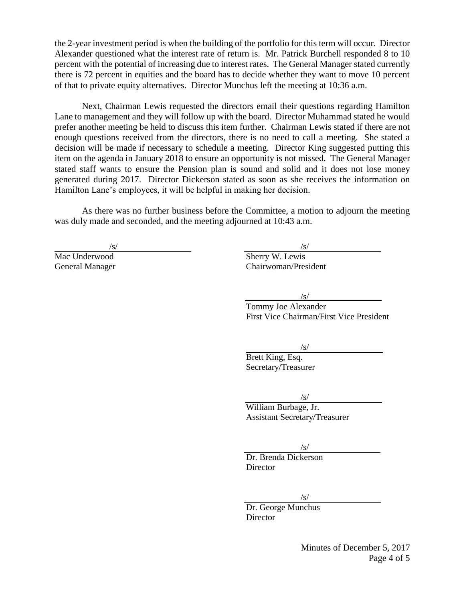the 2-year investment period is when the building of the portfolio for this term will occur. Director Alexander questioned what the interest rate of return is. Mr. Patrick Burchell responded 8 to 10 percent with the potential of increasing due to interest rates. The General Manager stated currently there is 72 percent in equities and the board has to decide whether they want to move 10 percent of that to private equity alternatives. Director Munchus left the meeting at 10:36 a.m.

Next, Chairman Lewis requested the directors email their questions regarding Hamilton Lane to management and they will follow up with the board. Director Muhammad stated he would prefer another meeting be held to discuss this item further. Chairman Lewis stated if there are not enough questions received from the directors, there is no need to call a meeting. She stated a decision will be made if necessary to schedule a meeting. Director King suggested putting this item on the agenda in January 2018 to ensure an opportunity is not missed. The General Manager stated staff wants to ensure the Pension plan is sound and solid and it does not lose money generated during 2017. Director Dickerson stated as soon as she receives the information on Hamilton Lane's employees, it will be helpful in making her decision.

As there was no further business before the Committee, a motion to adjourn the meeting was duly made and seconded, and the meeting adjourned at 10:43 a.m.

 $\sqrt{s}/\sqrt{s}$ Mac Underwood Sherry W. Lewis General Manager Chairwoman/President

/s/

Tommy Joe Alexander First Vice Chairman/First Vice President

/s/

Brett King, Esq. Secretary/Treasurer

 $\sqrt{s}$ 

William Burbage, Jr. Assistant Secretary/Treasurer

 $\sqrt{s}$ 

Dr. Brenda Dickerson **Director** 

/s/

Dr. George Munchus **Director** 

> Minutes of December 5, 2017 Page 4 of 5